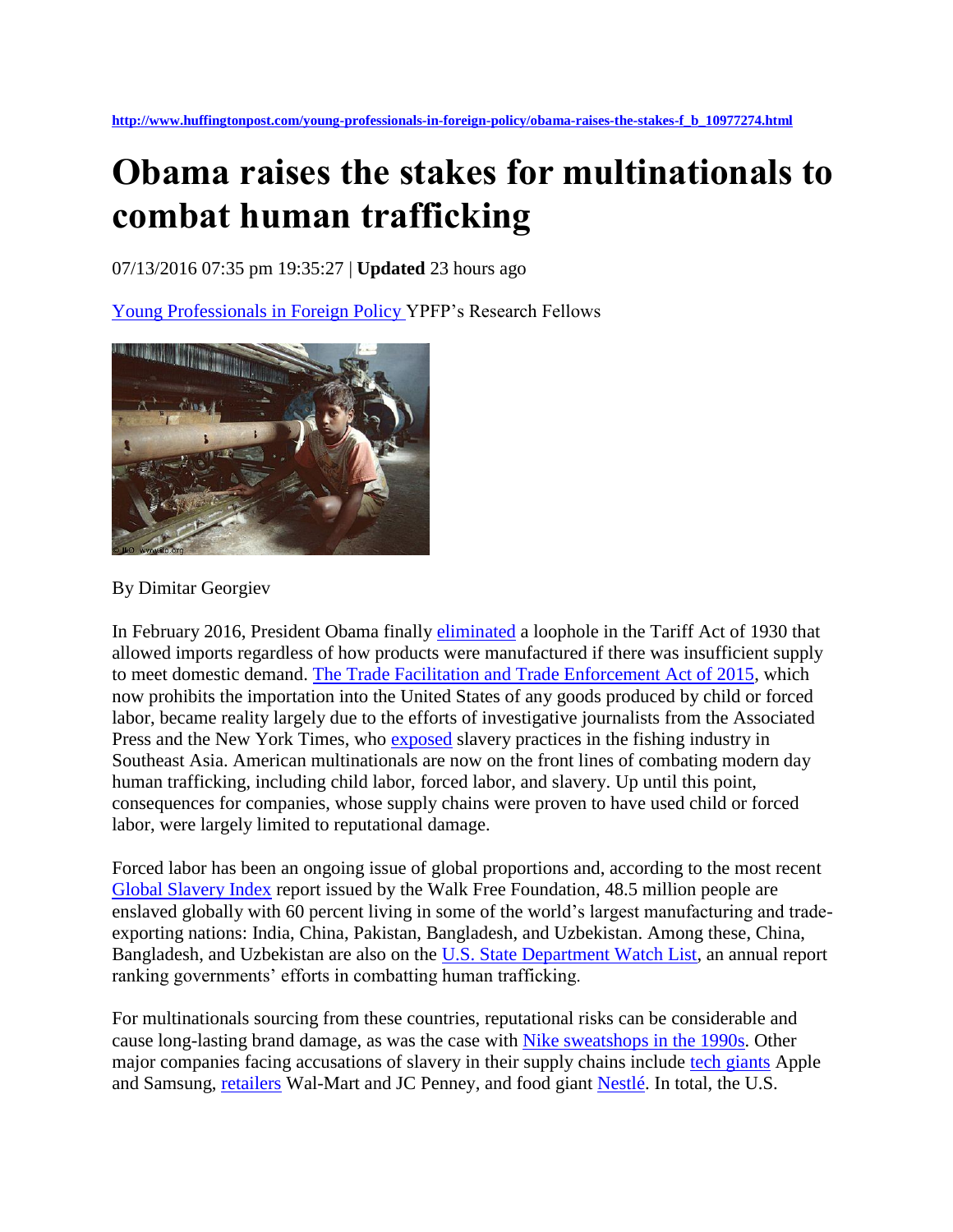## **Obama raises the stakes for multinationals to combat human trafficking**

07/13/2016 07:35 pm 19:35:27 | **Updated** 23 hours ago

[Young Professionals in Foreign Policy](http://www.huffingtonpost.com/author/young-professionals-in-foreign-policy) YPFP's Research Fellows



By Dimitar Georgiev

In February 2016, President Obama finally [eliminated](http://www.ap.org/explore/seafood-from-slaves/Obama-bans-US-imports-of-slave-produced-goods.html) a loophole in the Tariff Act of 1930 that allowed imports regardless of how products were manufactured if there was insufficient supply to meet domestic demand. [The Trade Facilitation and Trade Enforcement Act of 2015,](https://www.congress.gov/bill/114th-congress/house-bill/644) which now prohibits the importation into the United States of any goods produced by child or forced labor, became reality largely due to the efforts of investigative journalists from the Associated Press and the New York Times, who [exposed](http://www.ap.org/explore/seafood-from-slaves/) slavery practices in the fishing industry in Southeast Asia. American multinationals are now on the front lines of combating modern day human trafficking, including child labor, forced labor, and slavery. Up until this point, consequences for companies, whose supply chains were proven to have used child or forced labor, were largely limited to reputational damage.

Forced labor has been an ongoing issue of global proportions and, according to the most recent [Global Slavery Index](http://assets.globalslaveryindex.org/downloads/Global+Slavery+Index+2016.pdf) report issued by the Walk Free Foundation, 48.5 million people are enslaved globally with 60 percent living in some of the world's largest manufacturing and tradeexporting nations: India, China, Pakistan, Bangladesh, and Uzbekistan. Among these, China, Bangladesh, and Uzbekistan are also on the [U.S. State Department Watch List,](http://www.state.gov/documents/organization/245365.pdf) an annual report ranking governments' efforts in combatting human trafficking.

For multinationals sourcing from these countries, reputational risks can be considerable and cause long-lasting brand damage, as was the case with [Nike sweatshops in the 1990s.](http://www.businessinsider.com/how-nike-solved-its-sweatshop-problem-2013-5) Other major companies facing accusations of slavery in their supply chains include [tech giants](http://www.bbc.com/news/technology-35311456) Apple and Samsung, [retailers](http://www.law.harvard.edu/programs/lwp/NLC_childlabor.html) Wal-Mart and JC Penney, and food giant [Nestlé.](http://www.theguardian.com/global-development/2015/nov/24/nestle-admits-forced-labour-in-seafood-supply-chain) In total, the U.S.